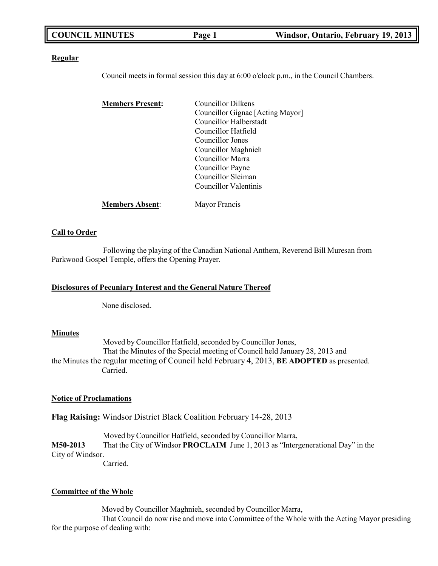| Windsor, Ontario, February 19, 2013<br>Page 1 |
|-----------------------------------------------|
|-----------------------------------------------|

### **Regular**

Council meets in formal session this day at 6:00 o'clock p.m., in the Council Chambers.

| <b>Members Present:</b> | Councillor Dilkens               |  |
|-------------------------|----------------------------------|--|
|                         | Councillor Gignac [Acting Mayor] |  |
|                         | Councillor Halberstadt           |  |
|                         | Councillor Hatfield              |  |
|                         | Councillor Jones                 |  |
|                         | Councillor Maghnieh              |  |
|                         | Councillor Marra                 |  |
|                         | Councillor Payne                 |  |
|                         | Councillor Sleiman               |  |
|                         | Councillor Valentinis            |  |
| <b>Members Absent:</b>  | Mayor Francis                    |  |

## **Call to Order**

Following the playing of the Canadian National Anthem, Reverend Bill Muresan from Parkwood Gospel Temple, offers the Opening Prayer.

### **Disclosures of Pecuniary Interest and the General Nature Thereof**

None disclosed.

### **Minutes**

Moved by Councillor Hatfield, seconded by Councillor Jones, That the Minutes of the Special meeting of Council held January 28, 2013 and the Minutes the regular meeting of Council held February 4, 2013, **BE ADOPTED** as presented. Carried.

### **Notice of Proclamations**

**Flag Raising:** Windsor District Black Coalition February 14-28, 2013

Moved by Councillor Hatfield, seconded by Councillor Marra, **M50-2013** That the City of Windsor **PROCLAIM** June 1, 2013 as "Intergenerational Day" in the City of Windsor.

Carried.

### **Committee of the Whole**

Moved by Councillor Maghnieh, seconded by Councillor Marra, That Council do now rise and move into Committee of the Whole with the Acting Mayor presiding for the purpose of dealing with: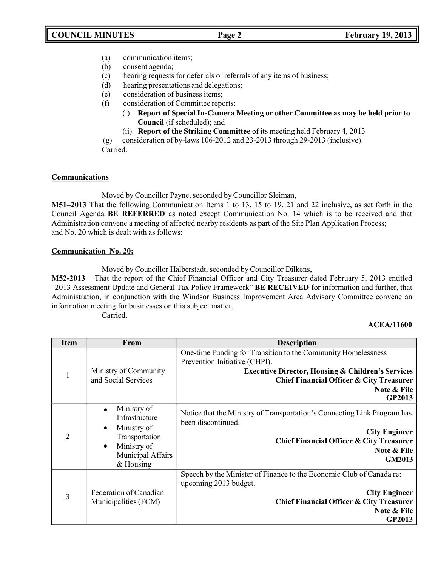- (a) communication items;
- (b) consent agenda;
- (c) hearing requests for deferrals or referrals of any items of business;
- (d) hearing presentations and delegations;
- (e) consideration of business items;
- (f) consideration of Committee reports:
	- (i) **Report of Special In-Camera Meeting or other Committee as may be held prior to Council** (if scheduled); and
	- (ii) **Report of the Striking Committee** of its meeting held February 4, 2013

(g) consideration of by-laws 106-2012 and 23-2013 through 29-2013 (inclusive). Carried.

# **Communications**

Moved by Councillor Payne, seconded by Councillor Sleiman,

**M51–2013** That the following Communication Items 1 to 13, 15 to 19, 21 and 22 inclusive, as set forth in the Council Agenda **BE REFERRED** as noted except Communication No. 14 which is to be received and that Administration convene a meeting of affected nearby residents as part of the Site Plan Application Process; and No. 20 which is dealt with as follows:

# **Communication No. 20:**

Moved by Councillor Halberstadt, seconded by Councillor Dilkens,

**M52-2013** That the report of the Chief Financial Officer and City Treasurer dated February 5, 2013 entitled "2013 Assessment Update and General Tax Policy Framework" **BE RECEIVED** for information and further, that Administration, in conjunction with the Windsor Business Improvement Area Advisory Committee convene an information meeting for businesses on this subject matter.

Carried.

# **ACEA/11600**

| <b>Item</b>                 | From                                                                                                            | <b>Description</b>                                                                                                                                                                                                                             |
|-----------------------------|-----------------------------------------------------------------------------------------------------------------|------------------------------------------------------------------------------------------------------------------------------------------------------------------------------------------------------------------------------------------------|
| 1                           | Ministry of Community<br>and Social Services                                                                    | One-time Funding for Transition to the Community Homelessness<br>Prevention Initiative (CHPI).<br><b>Executive Director, Housing &amp; Children's Services</b><br><b>Chief Financial Officer &amp; City Treasurer</b><br>Note & File<br>GP2013 |
| $\mathcal{D}_{\mathcal{L}}$ | Ministry of<br>Infrastructure<br>Ministry of<br>Transportation<br>Ministry of<br>Municipal Affairs<br>& Housing | Notice that the Ministry of Transportation's Connecting Link Program has<br>been discontinued.<br><b>City Engineer</b><br>Chief Financial Officer & City Treasurer<br>Note & File<br><b>GM2013</b>                                             |
| 3                           | Federation of Canadian<br>Municipalities (FCM)                                                                  | Speech by the Minister of Finance to the Economic Club of Canada re:<br>upcoming 2013 budget.<br><b>City Engineer</b><br><b>Chief Financial Officer &amp; City Treasurer</b><br>Note & File<br><b>GP2013</b>                                   |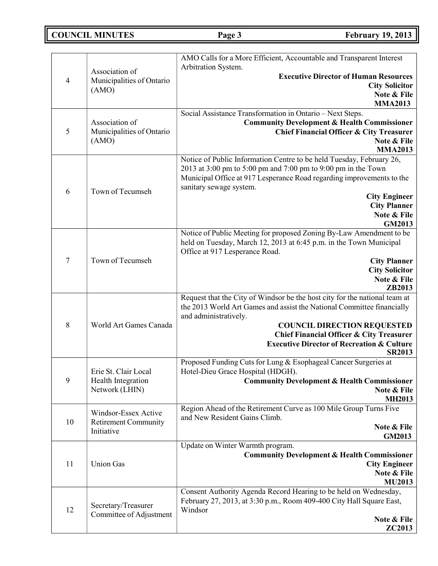# **COUNCIL MINUTES Page 3 February 19, 2013**

|                |                                                | AMO Calls for a More Efficient, Accountable and Transparent Interest                                                                   |
|----------------|------------------------------------------------|----------------------------------------------------------------------------------------------------------------------------------------|
|                | Association of                                 | Arbitration System.<br><b>Executive Director of Human Resources</b>                                                                    |
| $\overline{4}$ | Municipalities of Ontario                      | <b>City Solicitor</b>                                                                                                                  |
|                | (AMO)                                          | Note & File                                                                                                                            |
|                |                                                | <b>MMA2013</b>                                                                                                                         |
|                |                                                | Social Assistance Transformation in Ontario - Next Steps.                                                                              |
| 5              | Association of<br>Municipalities of Ontario    | <b>Community Development &amp; Health Commissioner</b><br>Chief Financial Officer & City Treasurer                                     |
|                | (AMO)                                          | Note & File                                                                                                                            |
|                |                                                | <b>MMA2013</b>                                                                                                                         |
|                |                                                | Notice of Public Information Centre to be held Tuesday, February 26,                                                                   |
|                |                                                | 2013 at 3:00 pm to 5:00 pm and 7:00 pm to 9:00 pm in the Town<br>Municipal Office at 917 Lesperance Road regarding improvements to the |
|                |                                                | sanitary sewage system.                                                                                                                |
| 6              | Town of Tecumseh                               | <b>City Engineer</b>                                                                                                                   |
|                |                                                | <b>City Planner</b>                                                                                                                    |
|                |                                                | Note & File<br>GM2013                                                                                                                  |
|                |                                                | Notice of Public Meeting for proposed Zoning By-Law Amendment to be                                                                    |
|                |                                                | held on Tuesday, March 12, 2013 at 6:45 p.m. in the Town Municipal                                                                     |
| $\tau$         | Town of Tecumseh                               | Office at 917 Lesperance Road.                                                                                                         |
|                |                                                | <b>City Planner</b><br><b>City Solicitor</b>                                                                                           |
|                |                                                | Note & File                                                                                                                            |
|                |                                                | ZB2013                                                                                                                                 |
|                |                                                | Request that the City of Windsor be the host city for the national team at                                                             |
|                |                                                | the 2013 World Art Games and assist the National Committee financially<br>and administratively.                                        |
| 8              | World Art Games Canada                         | <b>COUNCIL DIRECTION REQUESTED</b>                                                                                                     |
|                |                                                | <b>Chief Financial Officer &amp; City Treasurer</b>                                                                                    |
|                |                                                | <b>Executive Director of Recreation &amp; Culture</b><br><b>SR2013</b>                                                                 |
|                |                                                | Proposed Funding Cuts for Lung & Esophageal Cancer Surgeries at                                                                        |
|                | Erie St. Clair Local                           | Hotel-Dieu Grace Hospital (HDGH).                                                                                                      |
| 9              | Health Integration<br>Network (LHIN)           | <b>Community Development &amp; Health Commissioner</b><br>Note & File                                                                  |
|                |                                                | <b>MH2013</b>                                                                                                                          |
|                | Windsor-Essex Active                           | Region Ahead of the Retirement Curve as 100 Mile Group Turns Five                                                                      |
| 10             | <b>Retirement Community</b>                    | and New Resident Gains Climb.<br>Note & File                                                                                           |
|                | Initiative                                     | <b>GM2013</b>                                                                                                                          |
|                |                                                | Update on Winter Warmth program.                                                                                                       |
| 11             | <b>Union Gas</b>                               | <b>Community Development &amp; Health Commissioner</b>                                                                                 |
|                |                                                | <b>City Engineer</b><br>Note & File                                                                                                    |
|                |                                                | <b>MU2013</b>                                                                                                                          |
|                |                                                | Consent Authority Agenda Record Hearing to be held on Wednesday,                                                                       |
|                | Secretary/Treasurer<br>Committee of Adjustment | February 27, 2013, at 3:30 p.m., Room 409-400 City Hall Square East,                                                                   |
| 12             |                                                | Windsor<br>Note & File                                                                                                                 |
|                |                                                | <b>ZC2013</b>                                                                                                                          |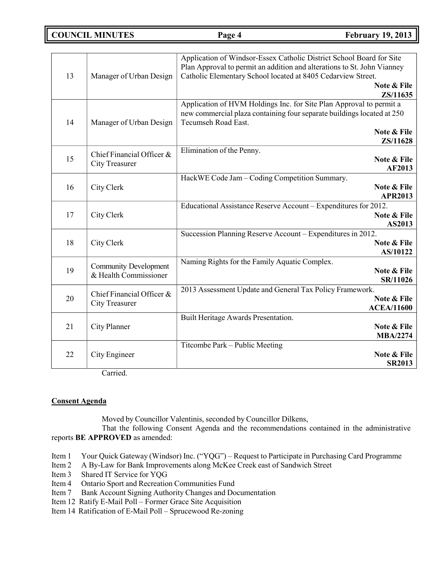**COUNCIL MINUTES Page 4 February 19, 2013**

| 13 | Manager of Urban Design                               | Application of Windsor-Essex Catholic District School Board for Site<br>Plan Approval to permit an addition and alterations to St. John Vianney<br>Catholic Elementary School located at 8405 Cedarview Street.<br>Note & File |
|----|-------------------------------------------------------|--------------------------------------------------------------------------------------------------------------------------------------------------------------------------------------------------------------------------------|
|    |                                                       | ZS/11635                                                                                                                                                                                                                       |
| 14 | Manager of Urban Design                               | Application of HVM Holdings Inc. for Site Plan Approval to permit a<br>new commercial plaza containing four separate buildings located at 250<br>Tecumseh Road East.<br>Note & File                                            |
|    |                                                       | ZS/11628                                                                                                                                                                                                                       |
| 15 | Chief Financial Officer &<br><b>City Treasurer</b>    | Elimination of the Penny.<br>Note & File<br>AF2013                                                                                                                                                                             |
| 16 | City Clerk                                            | HackWE Code Jam - Coding Competition Summary.<br>Note & File<br><b>APR2013</b>                                                                                                                                                 |
| 17 | City Clerk                                            | Educational Assistance Reserve Account - Expenditures for 2012.<br>Note & File<br>AS2013                                                                                                                                       |
| 18 | City Clerk                                            | Succession Planning Reserve Account - Expenditures in 2012.<br>Note & File<br>AS/10122                                                                                                                                         |
| 19 | <b>Community Development</b><br>& Health Commissioner | Naming Rights for the Family Aquatic Complex.<br>Note & File<br>SR/11026                                                                                                                                                       |
| 20 | Chief Financial Officer &<br><b>City Treasurer</b>    | 2013 Assessment Update and General Tax Policy Framework.<br>Note & File<br><b>ACEA/11600</b>                                                                                                                                   |
| 21 | City Planner                                          | Built Heritage Awards Presentation.<br>Note & File<br><b>MBA/2274</b>                                                                                                                                                          |
| 22 | City Engineer<br>$\sim$ $\cdot$ 1                     | Titcombe Park – Public Meeting<br>Note & File<br><b>SR2013</b>                                                                                                                                                                 |

Carried.

# **Consent Agenda**

Moved by Councillor Valentinis, seconded by Councillor Dilkens,

That the following Consent Agenda and the recommendations contained in the administrative reports **BE APPROVED** as amended:

- Item 1 Your Quick Gateway (Windsor) Inc. ("YQG") Request to Participate in Purchasing Card Programme
- Item 2 A By-Law for Bank Improvements along McKee Creek east of Sandwich Street
- Item 3 Shared IT Service for YQG
- Item 4 Ontario Sport and Recreation Communities Fund
- Item 7 Bank Account Signing Authority Changes and Documentation
- Item 12 Ratify E-Mail Poll Former Grace Site Acquisition
- Item 14 Ratification of E-Mail Poll Sprucewood Re-zoning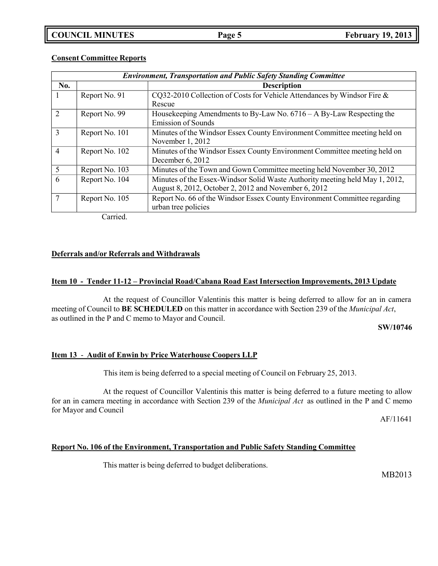| <b>Environment, Transportation and Public Safety Standing Committee</b> |                                                                              |  |
|-------------------------------------------------------------------------|------------------------------------------------------------------------------|--|
|                                                                         | <b>Description</b>                                                           |  |
| Report No. 91                                                           | CQ32-2010 Collection of Costs for Vehicle Attendances by Windsor Fire &      |  |
|                                                                         | Rescue                                                                       |  |
| Report No. 99                                                           | House keeping Amendments to By-Law No. $6716 - A$ By-Law Respecting the      |  |
|                                                                         | <b>Emission of Sounds</b>                                                    |  |
| Report No. 101                                                          | Minutes of the Windsor Essex County Environment Committee meeting held on    |  |
|                                                                         | November 1, 2012                                                             |  |
| Report No. 102                                                          | Minutes of the Windsor Essex County Environment Committee meeting held on    |  |
|                                                                         | December 6, 2012                                                             |  |
| Report No. 103                                                          | Minutes of the Town and Gown Committee meeting held November 30, 2012        |  |
| Report No. 104                                                          | Minutes of the Essex-Windsor Solid Waste Authority meeting held May 1, 2012, |  |
|                                                                         | August 8, 2012, October 2, 2012 and November 6, 2012                         |  |
| Report No. 105                                                          | Report No. 66 of the Windsor Essex County Environment Committee regarding    |  |
|                                                                         | urban tree policies                                                          |  |
|                                                                         |                                                                              |  |

## **Consent Committee Reports**

Carried.

# **Deferrals and/or Referrals and Withdrawals**

### **Item 10 - Tender 11-12 – Provincial Road/Cabana Road East Intersection Improvements, 2013 Update**

At the request of Councillor Valentinis this matter is being deferred to allow for an in camera meeting of Council to **BE SCHEDULED** on this matter in accordance with Section 239 of the *Municipal Act*, as outlined in the P and C memo to Mayor and Council.

**SW/10746**

### **Item 13** - **Audit of Enwin by Price Waterhouse Coopers LLP**

This item is being deferred to a special meeting of Council on February 25, 2013.

At the request of Councillor Valentinis this matter is being deferred to a future meeting to allow for an in camera meeting in accordance with Section 239 of the *Municipal Act* as outlined in the P and C memo for Mayor and Council

AF/11641

# **Report No. 106 of the Environment, Transportation and Public Safety Standing Committee**

This matter is being deferred to budget deliberations.

MB2013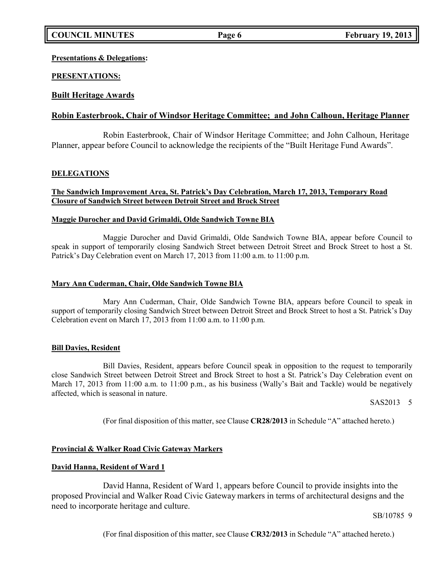# **Presentations & Delegations:**

# **PRESENTATIONS:**

# **Built Heritage Awards**

# **Robin Easterbrook, Chair of Windsor Heritage Committee; and John Calhoun, Heritage Planner**

Robin Easterbrook, Chair of Windsor Heritage Committee; and John Calhoun, Heritage Planner, appear before Council to acknowledge the recipients of the "Built Heritage Fund Awards".

# **DELEGATIONS**

# **The Sandwich Improvement Area, St. Patrick's Day Celebration, March 17, 2013, Temporary Road Closure of Sandwich Street between Detroit Street and Brock Street**

### **Maggie Durocher and David Grimaldi, Olde Sandwich Towne BIA**

Maggie Durocher and David Grimaldi, Olde Sandwich Towne BIA, appear before Council to speak in support of temporarily closing Sandwich Street between Detroit Street and Brock Street to host a St. Patrick's Day Celebration event on March 17, 2013 from 11:00 a.m. to 11:00 p.m.

## **Mary Ann Cuderman, Chair, Olde Sandwich Towne BIA**

Mary Ann Cuderman, Chair, Olde Sandwich Towne BIA, appears before Council to speak in support of temporarily closing Sandwich Street between Detroit Street and Brock Street to host a St. Patrick's Day Celebration event on March 17, 2013 from 11:00 a.m. to 11:00 p.m.

# **Bill Davies, Resident**

Bill Davies, Resident, appears before Council speak in opposition to the request to temporarily close Sandwich Street between Detroit Street and Brock Street to host a St. Patrick's Day Celebration event on March 17, 2013 from 11:00 a.m. to 11:00 p.m., as his business (Wally's Bait and Tackle) would be negatively affected, which is seasonal in nature.

SAS2013 5

(For final disposition of this matter, see Clause **CR28/2013** in Schedule "A" attached hereto.)

# **Provincial & Walker Road Civic Gateway Markers**

### **David Hanna, Resident of Ward 1**

David Hanna, Resident of Ward 1, appears before Council to provide insights into the proposed Provincial and Walker Road Civic Gateway markers in terms of architectural designs and the need to incorporate heritage and culture.

SB/10785 9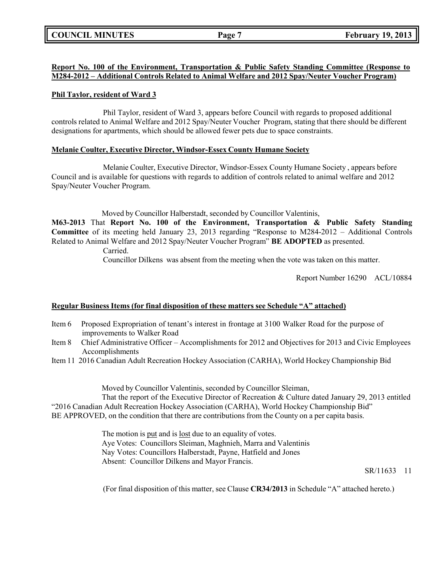# **Report No. 100 of the Environment, Transportation & Public Safety Standing Committee (Response to M284-2012 – Additional Controls Related to Animal Welfare and 2012 Spay/Neuter Voucher Program)**

# **Phil Taylor, resident of Ward 3**

Phil Taylor, resident of Ward 3, appears before Council with regards to proposed additional controls related to Animal Welfare and 2012 Spay/Neuter Voucher Program, stating that there should be different designations for apartments, which should be allowed fewer pets due to space constraints.

# **Melanie Coulter, Executive Director, Windsor-Essex County Humane Society**

Melanie Coulter, Executive Director, Windsor-Essex County Humane Society , appears before Council and is available for questions with regards to addition of controls related to animal welfare and 2012 Spay/Neuter Voucher Program.

Moved by Councillor Halberstadt, seconded by Councillor Valentinis,

**M63-2013** That **Report No. 100 of the Environment, Transportation & Public Safety Standing Committee** of its meeting held January 23, 2013 regarding "Response to M284-2012 – Additional Controls Related to Animal Welfare and 2012 Spay/Neuter Voucher Program" **BE ADOPTED** as presented.

Carried.

Councillor Dilkens was absent from the meeting when the vote was taken on this matter.

Report Number 16290 ACL/10884

# **Regular Business Items (for final disposition of these matters see Schedule "A" attached)**

- Item 6 Proposed Expropriation of tenant's interest in frontage at 3100 Walker Road for the purpose of improvements to Walker Road
- Item 8 Chief Administrative Officer Accomplishments for 2012 and Objectives for 2013 and Civic Employees Accomplishments
- Item 11 2016 Canadian Adult Recreation Hockey Association (CARHA), World Hockey Championship Bid

Moved by Councillor Valentinis, seconded by Councillor Sleiman,

That the report of the Executive Director of Recreation & Culture dated January 29, 2013 entitled "2016 Canadian Adult Recreation Hockey Association (CARHA), World Hockey Championship Bid" BE APPROVED, on the condition that there are contributions from the County on a per capita basis.

> The motion is put and is lost due to an equality of votes. Aye Votes: Councillors Sleiman, Maghnieh, Marra and Valentinis Nay Votes: Councillors Halberstadt, Payne, Hatfield and Jones Absent: Councillor Dilkens and Mayor Francis.

> > SR/11633 11

(For final disposition of this matter, see Clause **CR34/2013** in Schedule "A" attached hereto.)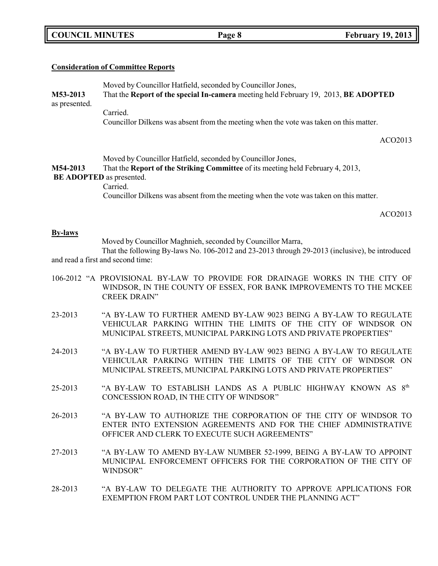|  | <b>COUNCIL MINUTES</b> |
|--|------------------------|
|--|------------------------|

# **Consideration of Committee Reports**

Moved by Councillor Hatfield, seconded by Councillor Jones, **M53-2013** That the **Report of the special In-camera** meeting held February 19, 2013, **BE ADOPTED** as presented. Carried.

Councillor Dilkens was absent from the meeting when the vote was taken on this matter.

ACO2013

Moved by Councillor Hatfield, seconded by Councillor Jones,

**M54-2013** That the **Report of the Striking Committee** of its meeting held February 4, 2013,

# **BE ADOPTED** as presented.

### Carried.

Councillor Dilkens was absent from the meeting when the vote was taken on this matter.

ACO2013

### **By-laws**

Moved by Councillor Maghnieh, seconded by Councillor Marra,

That the following By-laws No. 106-2012 and 23-2013 through 29-2013 (inclusive), be introduced and read a first and second time:

- 106-2012 "A PROVISIONAL BY-LAW TO PROVIDE FOR DRAINAGE WORKS IN THE CITY OF WINDSOR, IN THE COUNTY OF ESSEX, FOR BANK IMPROVEMENTS TO THE MCKEE CREEK DRAIN"
- 23-2013 "A BY-LAW TO FURTHER AMEND BY-LAW 9023 BEING A BY-LAW TO REGULATE VEHICULAR PARKING WITHIN THE LIMITS OF THE CITY OF WINDSOR ON MUNICIPAL STREETS, MUNICIPAL PARKING LOTS AND PRIVATE PROPERTIES"
- 24-2013 "A BY-LAW TO FURTHER AMEND BY-LAW 9023 BEING A BY-LAW TO REGULATE VEHICULAR PARKING WITHIN THE LIMITS OF THE CITY OF WINDSOR ON MUNICIPAL STREETS, MUNICIPAL PARKING LOTS AND PRIVATE PROPERTIES"
- 25-2013 "A BY-LAW TO ESTABLISH LANDS AS A PUBLIC HIGHWAY KNOWN AS  $8<sup>th</sup>$ CONCESSION ROAD, IN THE CITY OF WINDSOR"
- 26-2013 "A BY-LAW TO AUTHORIZE THE CORPORATION OF THE CITY OF WINDSOR TO ENTER INTO EXTENSION AGREEMENTS AND FOR THE CHIEF ADMINISTRATIVE OFFICER AND CLERK TO EXECUTE SUCH AGREEMENTS"
- 27-2013 "A BY-LAW TO AMEND BY-LAW NUMBER 52-1999, BEING A BY-LAW TO APPOINT MUNICIPAL ENFORCEMENT OFFICERS FOR THE CORPORATION OF THE CITY OF WINDSOR"
- 28-2013 "A BY-LAW TO DELEGATE THE AUTHORITY TO APPROVE APPLICATIONS FOR EXEMPTION FROM PART LOT CONTROL UNDER THE PLANNING ACT"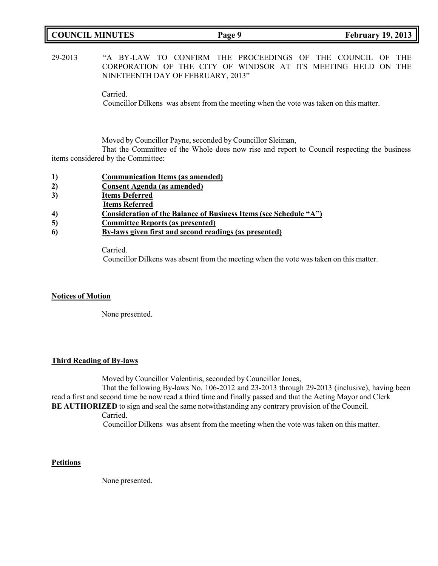| <b>COUNCIL MINUTES</b> | Page 9 | <b>February 19, 2013</b> |
|------------------------|--------|--------------------------|
|                        |        |                          |

# 29-2013 "A BY-LAW TO CONFIRM THE PROCEEDINGS OF THE COUNCIL OF THE CORPORATION OF THE CITY OF WINDSOR AT ITS MEETING HELD ON THE NINETEENTH DAY OF FEBRUARY, 2013"

Carried.

Councillor Dilkens was absent from the meeting when the vote was taken on this matter.

Moved by Councillor Payne, seconded by Councillor Sleiman,

That the Committee of the Whole does now rise and report to Council respecting the business items considered by the Committee:

- **1) Communication Items (as amended)**
- **2) Consent Agenda (as amended)**
- **3) Items Deferred**
- **Items Referred**
- **4) Consideration of the Balance of Business Items (see Schedule "A")**
- **5) Committee Reports (as presented)**
- **6) By-laws given first and second readings (as presented)**

Carried.

Councillor Dilkens was absent from the meeting when the vote was taken on this matter.

### **Notices of Motion**

None presented.

### **Third Reading of By-laws**

Moved by Councillor Valentinis, seconded by Councillor Jones,

That the following By-laws No. 106-2012 and 23-2013 through 29-2013 (inclusive), having been read a first and second time be now read a third time and finally passed and that the Acting Mayor and Clerk

**BE AUTHORIZED** to sign and seal the same notwithstanding any contrary provision of the Council.

Carried.

Councillor Dilkens was absent from the meeting when the vote was taken on this matter.

### **Petitions**

None presented.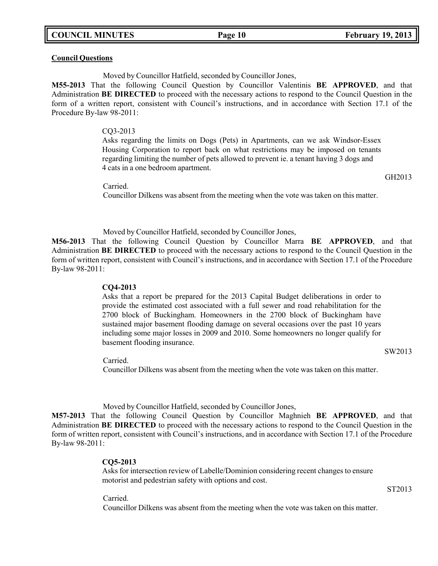### **Council Questions**

Moved by Councillor Hatfield, seconded by Councillor Jones,

**M55-2013** That the following Council Question by Councillor Valentinis **BE APPROVED**, and that Administration **BE DIRECTED** to proceed with the necessary actions to respond to the Council Question in the form of a written report, consistent with Council's instructions, and in accordance with Section 17.1 of the Procedure By-law 98-2011:

### CQ3-2013

Asks regarding the limits on Dogs (Pets) in Apartments, can we ask Windsor-Essex Housing Corporation to report back on what restrictions may be imposed on tenants regarding limiting the number of pets allowed to prevent ie. a tenant having 3 dogs and 4 cats in a one bedroom apartment.

Carried.

Councillor Dilkens was absent from the meeting when the vote was taken on this matter.

Moved by Councillor Hatfield, seconded by Councillor Jones,

**M56-2013** That the following Council Question by Councillor Marra **BE APPROVED**, and that Administration **BE DIRECTED** to proceed with the necessary actions to respond to the Council Question in the form of written report, consistent with Council's instructions, and in accordance with Section 17.1 of the Procedure By-law 98-2011:

### **CQ4-2013**

Asks that a report be prepared for the 2013 Capital Budget deliberations in order to provide the estimated cost associated with a full sewer and road rehabilitation for the 2700 block of Buckingham. Homeowners in the 2700 block of Buckingham have sustained major basement flooding damage on several occasions over the past 10 years including some major losses in 2009 and 2010. Some homeowners no longer qualify for basement flooding insurance.

Carried.

Councillor Dilkens was absent from the meeting when the vote was taken on this matter.

Moved by Councillor Hatfield, seconded by Councillor Jones,

**M57-2013** That the following Council Question by Councillor Maghnieh **BE APPROVED**, and that Administration **BE DIRECTED** to proceed with the necessary actions to respond to the Council Question in the form of written report, consistent with Council's instructions, and in accordance with Section 17.1 of the Procedure By-law 98-2011:

### **CQ5-2013**

Asks for intersection review of Labelle/Dominion considering recent changes to ensure motorist and pedestrian safety with options and cost.

ST2013

Carried.

Councillor Dilkens was absent from the meeting when the vote was taken on this matter.

GH2013

SW2013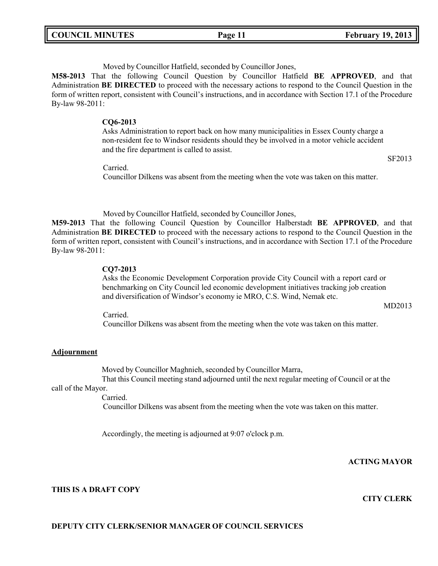| <b>COUNCIL MINUTES</b> |  | Page 11 | <b>February 19, 2013</b> |
|------------------------|--|---------|--------------------------|
|------------------------|--|---------|--------------------------|

Moved by Councillor Hatfield, seconded by Councillor Jones,

**M58-2013** That the following Council Question by Councillor Hatfield **BE APPROVED**, and that Administration **BE DIRECTED** to proceed with the necessary actions to respond to the Council Question in the form of written report, consistent with Council's instructions, and in accordance with Section 17.1 of the Procedure By-law 98-2011:

### **CQ6-2013**

Asks Administration to report back on how many municipalities in Essex County charge a non-resident fee to Windsor residents should they be involved in a motor vehicle accident and the fire department is called to assist.

SF2013

Carried.

Councillor Dilkens was absent from the meeting when the vote was taken on this matter.

Moved by Councillor Hatfield, seconded by Councillor Jones,

**M59-2013** That the following Council Question by Councillor Halberstadt **BE APPROVED**, and that Administration **BE DIRECTED** to proceed with the necessary actions to respond to the Council Question in the form of written report, consistent with Council's instructions, and in accordance with Section 17.1 of the Procedure By-law 98-2011:

### **CQ7-2013**

Asks the Economic Development Corporation provide City Council with a report card or benchmarking on City Council led economic development initiatives tracking job creation and diversification of Windsor's economy ie MRO, C.S. Wind, Nemak etc.

MD2013

Carried.

Councillor Dilkens was absent from the meeting when the vote was taken on this matter.

# **Adjournment**

Moved by Councillor Maghnieh, seconded by Councillor Marra,

That this Council meeting stand adjourned until the next regular meeting of Council or at the call of the Mayor.

Carried.

Councillor Dilkens was absent from the meeting when the vote was taken on this matter.

Accordingly, the meeting is adjourned at 9:07 o'clock p.m.

# **ACTING MAYOR**

### **THIS IS A DRAFT COPY**

### **CITY CLERK**

# **DEPUTY CITY CLERK/SENIOR MANAGER OF COUNCIL SERVICES**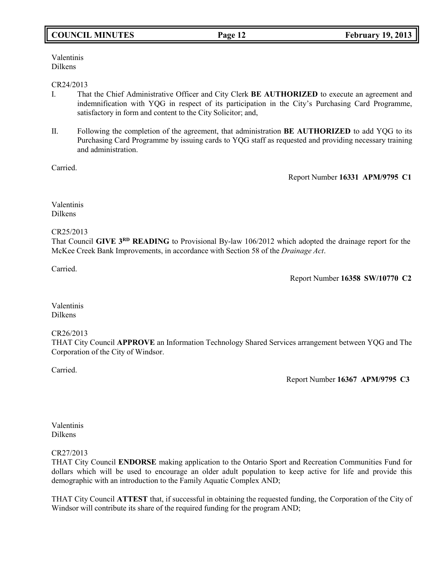# **COUNCIL MINUTES Page 12 February 19, 2013**

Valentinis Dilkens

### CR24/2013

- I. That the Chief Administrative Officer and City Clerk **BE AUTHORIZED** to execute an agreement and indemnification with YQG in respect of its participation in the City's Purchasing Card Programme, satisfactory in form and content to the City Solicitor; and,
- II. Following the completion of the agreement, that administration **BE AUTHORIZED** to add YQG to its Purchasing Card Programme by issuing cards to YQG staff as requested and providing necessary training and administration.

Carried.

Report Number **16331 APM/9795 C1**

Valentinis Dilkens

### CR25/2013

That Council GIVE 3<sup>RD</sup> READING to Provisional By-law 106/2012 which adopted the drainage report for the McKee Creek Bank Improvements, in accordance with Section 58 of the *Drainage Act*.

Carried.

Report Number **16358 SW/10770 C2**

Valentinis Dilkens

### CR26/2013

THAT City Council **APPROVE** an Information Technology Shared Services arrangement between YQG and The Corporation of the City of Windsor.

Carried.

Report Number **16367 APM/9795 C3**

## Valentinis Dilkens

### CR27/2013

THAT City Council **ENDORSE** making application to the Ontario Sport and Recreation Communities Fund for dollars which will be used to encourage an older adult population to keep active for life and provide this demographic with an introduction to the Family Aquatic Complex AND;

THAT City Council **ATTEST** that, if successful in obtaining the requested funding, the Corporation of the City of Windsor will contribute its share of the required funding for the program AND;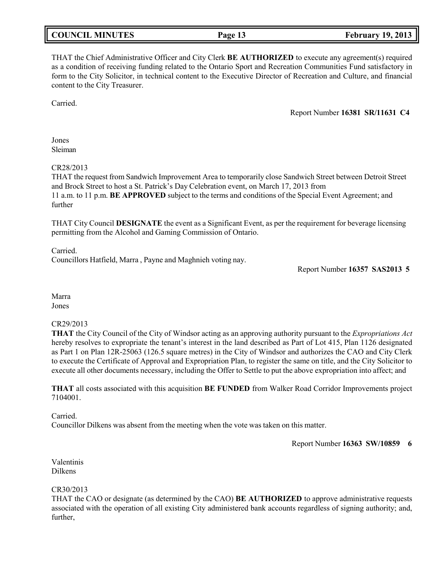| <b>COUNCIL MINUTES</b> |  |
|------------------------|--|
|------------------------|--|

THAT the Chief Administrative Officer and City Clerk **BE AUTHORIZED** to execute any agreement(s) required as a condition of receiving funding related to the Ontario Sport and Recreation Communities Fund satisfactory in form to the City Solicitor, in technical content to the Executive Director of Recreation and Culture, and financial content to the City Treasurer.

Carried.

Report Number **16381 SR/11631 C4**

Jones Sleiman

CR28/2013

THAT the request from Sandwich Improvement Area to temporarily close Sandwich Street between Detroit Street and Brock Street to host a St. Patrick's Day Celebration event, on March 17, 2013 from 11 a.m. to 11 p.m. **BE APPROVED** subject to the terms and conditions of the Special Event Agreement; and further

THAT City Council **DESIGNATE** the event as a Significant Event, as per the requirement for beverage licensing permitting from the Alcohol and Gaming Commission of Ontario.

Carried. Councillors Hatfield, Marra , Payne and Maghnieh voting nay.

Report Number **16357 SAS2013 5**

Marra Jones

# CR29/2013

**THAT** the City Council of the City of Windsor acting as an approving authority pursuant to the *Expropriations Act* hereby resolves to expropriate the tenant's interest in the land described as Part of Lot 415, Plan 1126 designated as Part 1 on Plan 12R-25063 (126.5 square metres) in the City of Windsor and authorizes the CAO and City Clerk to execute the Certificate of Approval and Expropriation Plan, to register the same on title, and the City Solicitor to execute all other documents necessary, including the Offer to Settle to put the above expropriation into affect; and

**THAT** all costs associated with this acquisition **BE FUNDED** from Walker Road Corridor Improvements project 7104001.

Carried. Councillor Dilkens was absent from the meeting when the vote was taken on this matter.

Report Number **16363 SW/10859 6**

Valentinis Dilkens

# CR30/2013

THAT the CAO or designate (as determined by the CAO) **BE AUTHORIZED** to approve administrative requests associated with the operation of all existing City administered bank accounts regardless of signing authority; and, further,

**Page 13 February 19, 2013**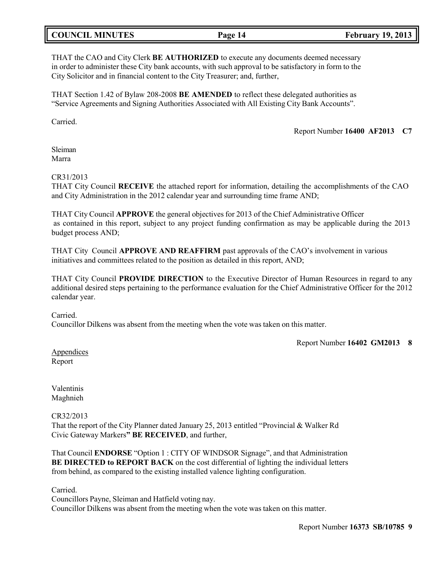# **COUNCIL MINUTES Page 14 February 19, 2013**

THAT the CAO and City Clerk **BE AUTHORIZED** to execute any documents deemed necessary in order to administer these City bank accounts, with such approval to be satisfactory in form to the City Solicitor and in financial content to the City Treasurer; and, further,

THAT Section 1.42 of Bylaw 208-2008 **BE AMENDED** to reflect these delegated authorities as "Service Agreements and Signing Authorities Associated with All Existing City Bank Accounts".

Carried.

Report Number **16400 AF2013 C7**

Sleiman Marra

# CR31/2013

THAT City Council **RECEIVE** the attached report for information, detailing the accomplishments of the CAO and City Administration in the 2012 calendar year and surrounding time frame AND;

THAT City Council **APPROVE** the general objectives for 2013 of the Chief Administrative Officer as contained in this report, subject to any project funding confirmation as may be applicable during the 2013 budget process AND;

THAT City Council **APPROVE AND REAFFIRM** past approvals of the CAO's involvement in various initiatives and committees related to the position as detailed in this report, AND;

THAT City Council **PROVIDE DIRECTION** to the Executive Director of Human Resources in regard to any additional desired steps pertaining to the performance evaluation for the Chief Administrative Officer for the 2012 calendar year.

Carried.

Councillor Dilkens was absent from the meeting when the vote was taken on this matter.

Report Number **16402 GM2013 8**

Appendices Report

Valentinis Maghnieh

CR32/2013

That the report of the City Planner dated January 25, 2013 entitled "Provincial & Walker Rd Civic Gateway Markers**" BE RECEIVED**, and further,

That Council **ENDORSE** "Option 1 : CITY OF WINDSOR Signage", and that Administration **BE DIRECTED to REPORT BACK** on the cost differential of lighting the individual letters from behind, as compared to the existing installed valence lighting configuration.

Carried.

Councillors Payne, Sleiman and Hatfield voting nay. Councillor Dilkens was absent from the meeting when the vote was taken on this matter.

Report Number **16373 SB/10785 9**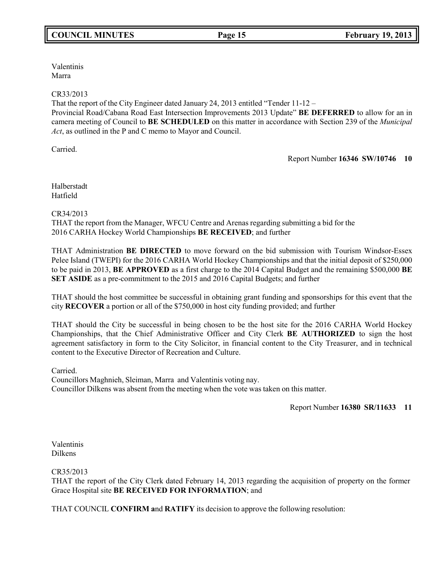Valentinis Marra

# CR33/2013

That the report of the City Engineer dated January 24, 2013 entitled "Tender 11-12 –

Provincial Road/Cabana Road East Intersection Improvements 2013 Update" **BE DEFERRED** to allow for an in camera meeting of Council to **BE SCHEDULED** on this matter in accordance with Section 239 of the *Municipal Act*, as outlined in the P and C memo to Mayor and Council.

Carried.

Report Number **16346 SW/10746 10**

Halberstadt Hatfield

CR34/2013

THAT the report from the Manager, WFCU Centre and Arenas regarding submitting a bid for the 2016 CARHA Hockey World Championships **BE RECEIVED**; and further

THAT Administration **BE DIRECTED** to move forward on the bid submission with Tourism Windsor-Essex Pelee Island (TWEPI) for the 2016 CARHA World Hockey Championships and that the initial deposit of \$250,000 to be paid in 2013, **BE APPROVED** as a first charge to the 2014 Capital Budget and the remaining \$500,000 **BE SET ASIDE** as a pre-commitment to the 2015 and 2016 Capital Budgets; and further

THAT should the host committee be successful in obtaining grant funding and sponsorships for this event that the city **RECOVER** a portion or all of the \$750,000 in host city funding provided; and further

THAT should the City be successful in being chosen to be the host site for the 2016 CARHA World Hockey Championships, that the Chief Administrative Officer and City Clerk **BE AUTHORIZED** to sign the host agreement satisfactory in form to the City Solicitor, in financial content to the City Treasurer, and in technical content to the Executive Director of Recreation and Culture.

Carried.

Councillors Maghnieh, Sleiman, Marra and Valentinis voting nay. Councillor Dilkens was absent from the meeting when the vote was taken on this matter.

Report Number **16380 SR/11633 11**

Valentinis Dilkens

# CR35/2013

THAT the report of the City Clerk dated February 14, 2013 regarding the acquisition of property on the former Grace Hospital site **BE RECEIVED FOR INFORMATION**; and

THAT COUNCIL **CONFIRM a**nd **RATIFY** its decision to approve the following resolution: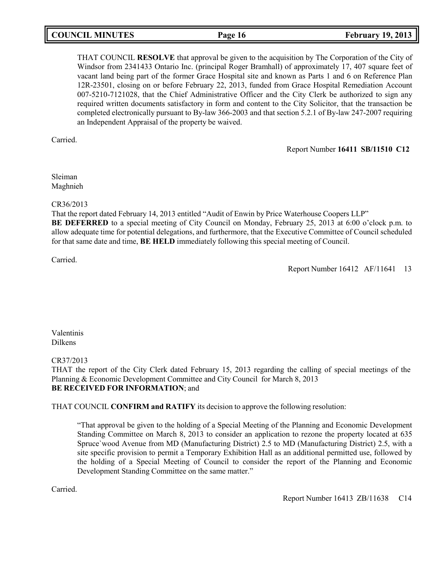# **COUNCIL MINUTES Page 16 February 19, 2013**

THAT COUNCIL **RESOLVE** that approval be given to the acquisition by The Corporation of the City of Windsor from 2341433 Ontario Inc. (principal Roger Bramhall) of approximately 17, 407 square feet of vacant land being part of the former Grace Hospital site and known as Parts 1 and 6 on Reference Plan 12R-23501, closing on or before February 22, 2013, funded from Grace Hospital Remediation Account 007-5210-7121028, that the Chief Administrative Officer and the City Clerk be authorized to sign any required written documents satisfactory in form and content to the City Solicitor, that the transaction be completed electronically pursuant to By-law 366-2003 and that section 5.2.1 of By-law 247-2007 requiring an Independent Appraisal of the property be waived.

Carried.

Report Number **16411 SB/11510 C12**

Sleiman Maghnieh

# CR36/2013

That the report dated February 14, 2013 entitled "Audit of Enwin by Price Waterhouse Coopers LLP"

**BE DEFERRED** to a special meeting of City Council on Monday, February 25, 2013 at 6:00 o'clock p.m. to allow adequate time for potential delegations, and furthermore, that the Executive Committee of Council scheduled for that same date and time, **BE HELD** immediately following this special meeting of Council.

Carried.

Report Number 16412 AF/11641 13

Valentinis Dilkens

CR37/2013

THAT the report of the City Clerk dated February 15, 2013 regarding the calling of special meetings of the Planning & Economic Development Committee and City Council for March 8, 2013 **BE RECEIVED FOR INFORMATION**; and

THAT COUNCIL **CONFIRM and RATIFY** its decision to approve the following resolution:

"That approval be given to the holding of a Special Meeting of the Planning and Economic Development Standing Committee on March 8, 2013 to consider an application to rezone the property located at 635 Spruce`wood Avenue from MD (Manufacturing District) 2.5 to MD (Manufacturing District) 2.5, with a site specific provision to permit a Temporary Exhibition Hall as an additional permitted use, followed by the holding of a Special Meeting of Council to consider the report of the Planning and Economic Development Standing Committee on the same matter."

Carried.

Report Number 16413 ZB/11638 C14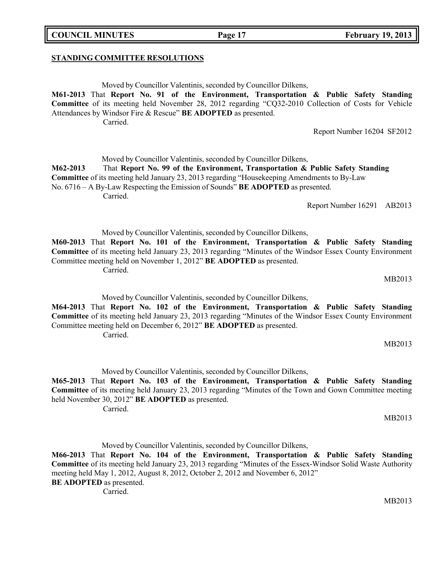**COUNCIL MINUTES Page 17 February 19, 2013**

## **STANDING COMMITTEE RESOLUTIONS**

Moved by Councillor Valentinis, seconded by Councillor Dilkens, **M61-2013** That **Report No. 91 of the Environment, Transportation & Public Safety Standing Committee** of its meeting held November 28, 2012 regarding "CQ32-2010 Collection of Costs for Vehicle Attendances by Windsor Fire & Rescue" **BE ADOPTED** as presented.

Carried.

Moved by Councillor Valentinis, seconded by Councillor Dilkens,

**M62-2013** That **Report No. 99 of the Environment, Transportation & Public Safety Standing Committee** of its meeting held January 23, 2013 regarding "Housekeeping Amendments to By-Law

No. 6716 – A By-Law Respecting the Emission of Sounds" **BE ADOPTED** as presented.

Carried.

Report Number 16291 AB2013

Report Number 16204 SF2012

Moved by Councillor Valentinis, seconded by Councillor Dilkens,

**M60-2013** That **Report No. 101 of the Environment, Transportation & Public Safety Standing Committee** of its meeting held January 23, 2013 regarding "Minutes of the Windsor Essex County Environment Committee meeting held on November 1, 2012" **BE ADOPTED** as presented. Carried.

MB2013

Moved by Councillor Valentinis, seconded by Councillor Dilkens,

**M64-2013** That **Report No. 102 of the Environment, Transportation & Public Safety Standing Committee** of its meeting held January 23, 2013 regarding "Minutes of the Windsor Essex County Environment Committee meeting held on December 6, 2012" **BE ADOPTED** as presented. Carried.

MB2013

Moved by Councillor Valentinis, seconded by Councillor Dilkens, **M65-2013** That **Report No. 103 of the Environment, Transportation & Public Safety Standing Committee** of its meeting held January 23, 2013 regarding "Minutes of the Town and Gown Committee meeting held November 30, 2012" **BE ADOPTED** as presented. Carried.

MB2013

Moved by Councillor Valentinis, seconded by Councillor Dilkens,

**M66-2013** That **Report No. 104 of the Environment, Transportation & Public Safety Standing Committee** of its meeting held January 23, 2013 regarding "Minutes of the Essex-Windsor Solid Waste Authority meeting held May 1, 2012, August 8, 2012, October 2, 2012 and November 6, 2012" **BE ADOPTED** as presented. Carried.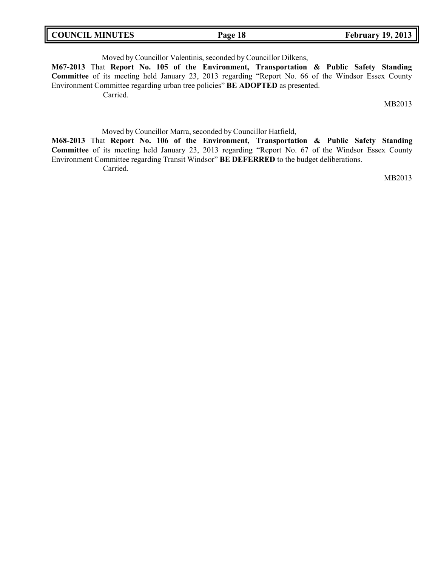Moved by Councillor Valentinis, seconded by Councillor Dilkens,

**M67-2013** That **Report No. 105 of the Environment, Transportation & Public Safety Standing Committee** of its meeting held January 23, 2013 regarding "Report No. 66 of the Windsor Essex County Environment Committee regarding urban tree policies" **BE ADOPTED** as presented.

Carried.

MB2013

Moved by Councillor Marra, seconded by Councillor Hatfield,

**M68-2013** That **Report No. 106 of the Environment, Transportation & Public Safety Standing Committee** of its meeting held January 23, 2013 regarding "Report No. 67 of the Windsor Essex County Environment Committee regarding Transit Windsor" **BE DEFERRED** to the budget deliberations. Carried.

MB2013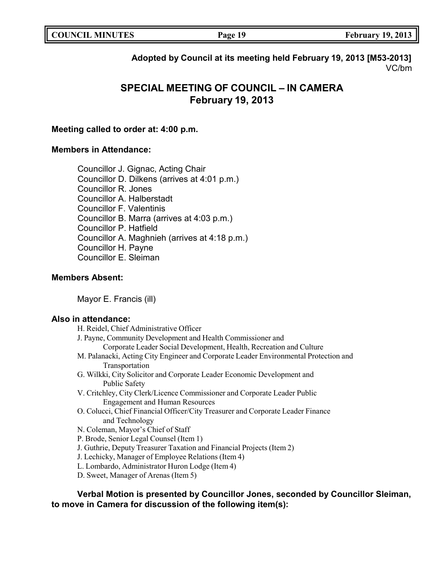| <b>COUNCIL MINUTES</b> | Page 19 | <b>February 19, 2013</b> |
|------------------------|---------|--------------------------|
|                        |         |                          |

# **Adopted by Council at its meeting held February 19, 2013 [M53-2013]** VC/bm

# **SPECIAL MEETING OF COUNCIL – IN CAMERA February 19, 2013**

# **Meeting called to order at: 4:00 p.m.**

# **Members in Attendance:**

Councillor J. Gignac, Acting Chair Councillor D. Dilkens (arrives at 4:01 p.m.) Councillor R. Jones Councillor A. Halberstadt Councillor F. Valentinis Councillor B. Marra (arrives at 4:03 p.m.) Councillor P. Hatfield Councillor A. Maghnieh (arrives at 4:18 p.m.) Councillor H. Payne Councillor E. Sleiman

# **Members Absent:**

Mayor E. Francis (ill)

# **Also in attendance:**

H. Reidel, Chief Administrative Officer J. Payne, Community Development and Health Commissioner and Corporate Leader Social Development, Health, Recreation and Culture M. Palanacki, Acting City Engineer and Corporate Leader Environmental Protection and Transportation G. Wilkki, City Solicitor and Corporate Leader Economic Development and Public Safety V. Critchley, City Clerk/Licence Commissioner and Corporate Leader Public Engagement and Human Resources O. Colucci, Chief Financial Officer/City Treasurer and Corporate Leader Finance and Technology N. Coleman, Mayor's Chief of Staff P. Brode, Senior Legal Counsel (Item 1) J. Guthrie, Deputy Treasurer Taxation and Financial Projects (Item 2) J. Lechicky, Manager of Employee Relations (Item 4) L. Lombardo, Administrator Huron Lodge (Item 4) D. Sweet, Manager of Arenas (Item 5)

**Verbal Motion is presented by Councillor Jones, seconded by Councillor Sleiman, to move in Camera for discussion of the following item(s):**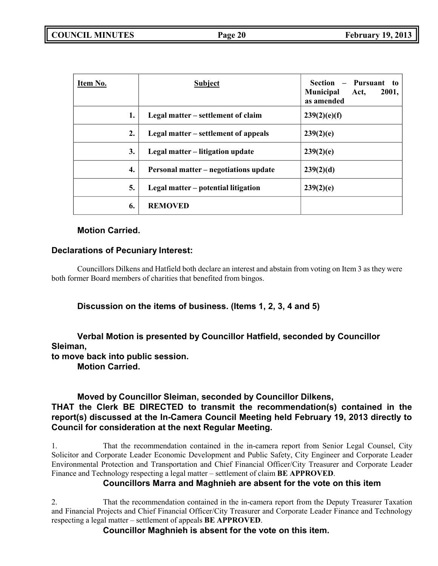| Item No. | <b>Subject</b>                        | Section<br>- Pursuant to<br><b>Municipal</b><br>2001,<br>Act,<br>as amended |
|----------|---------------------------------------|-----------------------------------------------------------------------------|
| 1.       | Legal matter – settlement of claim    | 239(2)(e)(f)                                                                |
| 2.       | Legal matter – settlement of appeals  | 239(2)(e)                                                                   |
| 3.       | Legal matter – litigation update      | 239(2)(e)                                                                   |
| 4.       | Personal matter – negotiations update | 239(2)(d)                                                                   |
| 5.       | Legal matter – potential litigation   | 239(2)(e)                                                                   |
| 6.       | <b>REMOVED</b>                        |                                                                             |

# **Motion Carried.**

# **Declarations of Pecuniary Interest:**

Councillors Dilkens and Hatfield both declare an interest and abstain from voting on Item 3 as they were both former Board members of charities that benefited from bingos.

**Discussion on the items of business. (Items 1, 2, 3, 4 and 5)**

# **Verbal Motion is presented by Councillor Hatfield, seconded by Councillor Sleiman,**

**to move back into public session.**

**Motion Carried.**

# **Moved by Councillor Sleiman, seconded by Councillor Dilkens,**

# **THAT the Clerk BE DIRECTED to transmit the recommendation(s) contained in the report(s) discussed at the In-Camera Council Meeting held February 19, 2013 directly to Council for consideration at the next Regular Meeting.**

1. That the recommendation contained in the in-camera report from Senior Legal Counsel, City Solicitor and Corporate Leader Economic Development and Public Safety, City Engineer and Corporate Leader Environmental Protection and Transportation and Chief Financial Officer/City Treasurer and Corporate Leader Finance and Technology respecting a legal matter – settlement of claim **BE APPROVED**.

# **Councillors Marra and Maghnieh are absent for the vote on this item**

2. That the recommendation contained in the in-camera report from the Deputy Treasurer Taxation and Financial Projects and Chief Financial Officer/City Treasurer and Corporate Leader Finance and Technology respecting a legal matter – settlement of appeals **BE APPROVED**.

**Councillor Maghnieh is absent for the vote on this item.**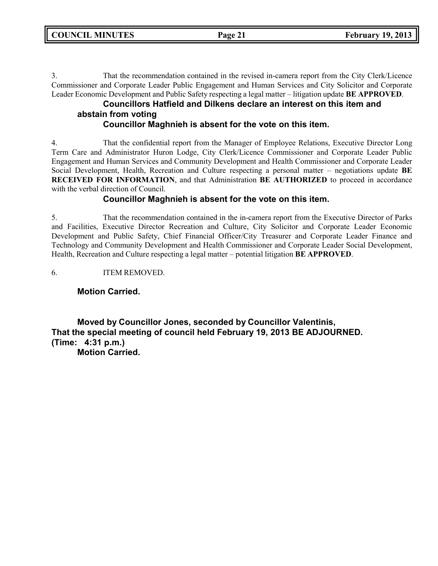3. That the recommendation contained in the revised in-camera report from the City Clerk/Licence Commissioner and Corporate Leader Public Engagement and Human Services and City Solicitor and Corporate Leader Economic Development and Public Safety respecting a legal matter – litigation update **BE APPROVED**.

# **Councillors Hatfield and Dilkens declare an interest on this item and abstain from voting**

# **Councillor Maghnieh is absent for the vote on this item.**

4. That the confidential report from the Manager of Employee Relations, Executive Director Long Term Care and Administrator Huron Lodge, City Clerk/Licence Commissioner and Corporate Leader Public Engagement and Human Services and Community Development and Health Commissioner and Corporate Leader Social Development, Health, Recreation and Culture respecting a personal matter – negotiations update **BE RECEIVED FOR INFORMATION**, and that Administration **BE AUTHORIZED** to proceed in accordance with the verbal direction of Council.

# **Councillor Maghnieh is absent for the vote on this item.**

5. That the recommendation contained in the in-camera report from the Executive Director of Parks and Facilities, Executive Director Recreation and Culture, City Solicitor and Corporate Leader Economic Development and Public Safety, Chief Financial Officer/City Treasurer and Corporate Leader Finance and Technology and Community Development and Health Commissioner and Corporate Leader Social Development, Health, Recreation and Culture respecting a legal matter – potential litigation **BE APPROVED**.

6. ITEM REMOVED.

# **Motion Carried.**

**Moved by Councillor Jones, seconded by Councillor Valentinis, That the special meeting of council held February 19, 2013 BE ADJOURNED. (Time: 4:31 p.m.) Motion Carried.**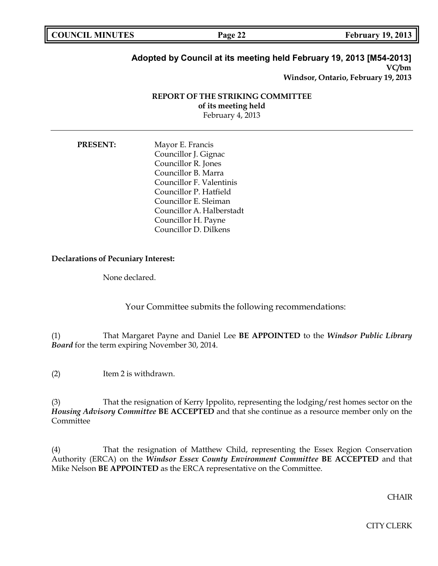| <b>COUNCIL MINUTES</b> | Page 22<br>44 | <b>February 19, 2013</b> |
|------------------------|---------------|--------------------------|
|                        |               |                          |

## **Adopted by Council at its meeting held February 19, 2013 [M54-2013] VC/bm**

**Windsor, Ontario, February 19, 2013**

# **REPORT OF THE STRIKING COMMITTEE of its meeting held** February 4, 2013

**PRESENT:** Mayor E. Francis Councillor J. Gignac Councillor R. Jones Councillor B. Marra Councillor F. Valentinis Councillor P. Hatfield Councillor E. Sleiman Councillor A. Halberstadt Councillor H. Payne Councillor D. Dilkens

# **Declarations of Pecuniary Interest:**

None declared.

Your Committee submits the following recommendations:

(1) That Margaret Payne and Daniel Lee **BE APPOINTED** to the *Windsor Public Library Board* for the term expiring November 30, 2014.

(2) Item 2 is withdrawn.

(3) That the resignation of Kerry Ippolito, representing the lodging/rest homes sector on the *Housing Advisory Committee* **BE ACCEPTED** and that she continue as a resource member only on the Committee

(4) That the resignation of Matthew Child, representing the Essex Region Conservation Authority (ERCA) on the *Windsor Essex County Environment Committee* **BE ACCEPTED** and that Mike Nelson **BE APPOINTED** as the ERCA representative on the Committee.

CHAIR

CITY CLERK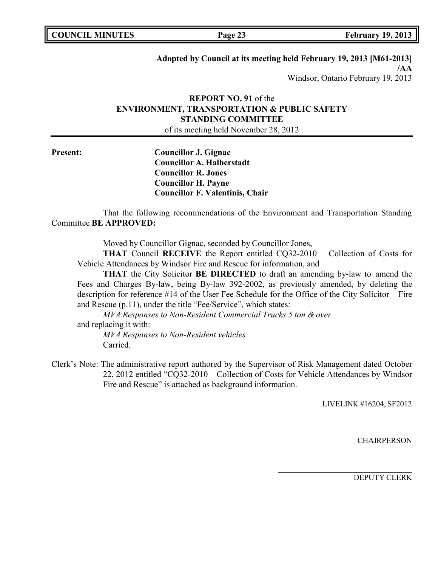# **Adopted by Council at its meeting held February 19, 2013 [M61-2013]**

**/AA** Windsor, Ontario February 19, 2013

# **REPORT NO. 91** of the **ENVIRONMENT, TRANSPORTATION & PUBLIC SAFETY STANDING COMMITTEE**

of its meeting held November 28, 2012

**Present: Councillor J. Gignac Councillor A. Halberstadt Councillor R. Jones Councillor H. Payne Councillor F. Valentinis, Chair**

That the following recommendations of the Environment and Transportation Standing Committee **BE APPROVED:**

Moved by Councillor Gignac, seconded by Councillor Jones,

**THAT** Council **RECEIVE** the Report entitled CQ32-2010 – Collection of Costs for Vehicle Attendances by Windsor Fire and Rescue for information, and

**THAT** the City Solicitor **BE DIRECTED** to draft an amending by-law to amend the Fees and Charges By-law, being By-law 392-2002, as previously amended, by deleting the description for reference #14 of the User Fee Schedule for the Office of the City Solicitor – Fire and Rescue (p.11), under the title "Fee/Service", which states:

*MVA Responses to Non-Resident Commercial Trucks 5 ton & over* and replacing it with:

*MVA Responses to Non-Resident vehicles* Carried.

Clerk's Note: The administrative report authored by the Supervisor of Risk Management dated October 22, 2012 entitled "CQ32-2010 – Collection of Costs for Vehicle Attendances by Windsor Fire and Rescue" is attached as background information.

LIVELINK #16204, SF2012

**CHAIRPERSON**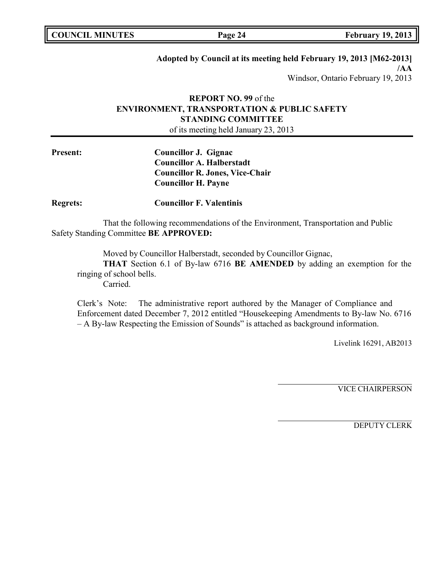| <b>COUNCIL MINUTES</b> |  |
|------------------------|--|
|------------------------|--|

**COUNCIL MINUTES Page 24 February 19, 2013**

# **Adopted by Council at its meeting held February 19, 2013 [M62-2013]**

**/AA** Windsor, Ontario February 19, 2013

# **REPORT NO. 99** of the **ENVIRONMENT, TRANSPORTATION & PUBLIC SAFETY STANDING COMMITTEE**

of its meeting held January 23, 2013

**Present: Councillor J. Gignac Councillor A. Halberstadt Councillor R. Jones, Vice-Chair Councillor H. Payne**

**Regrets: Councillor F. Valentinis**

That the following recommendations of the Environment, Transportation and Public Safety Standing Committee **BE APPROVED:**

Moved by Councillor Halberstadt, seconded by Councillor Gignac,

**THAT** Section 6.1 of By-law 6716 **BE AMENDED** by adding an exemption for the ringing of school bells.

Carried.

Clerk's Note: The administrative report authored by the Manager of Compliance and Enforcement dated December 7, 2012 entitled "Housekeeping Amendments to By-law No. 6716 – A By-law Respecting the Emission of Sounds" is attached as background information.

Livelink 16291, AB2013

VICE CHAIRPERSON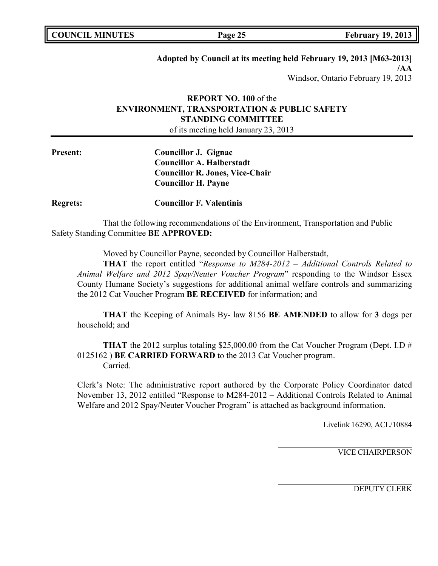| <b>COUNCIL MINUTES</b> |  |
|------------------------|--|
|------------------------|--|

**COUNCIL MINUTES Page 25 February 19, 2013**

# **Adopted by Council at its meeting held February 19, 2013 [M63-2013]**

**/AA** Windsor, Ontario February 19, 2013

# **REPORT NO. 100** of the **ENVIRONMENT, TRANSPORTATION & PUBLIC SAFETY STANDING COMMITTEE**

of its meeting held January 23, 2013

**Present: Councillor J. Gignac Councillor A. Halberstadt Councillor R. Jones, Vice-Chair Councillor H. Payne**

**Regrets: Councillor F. Valentinis**

That the following recommendations of the Environment, Transportation and Public Safety Standing Committee **BE APPROVED:**

Moved by Councillor Payne, seconded by Councillor Halberstadt,

**THAT** the report entitled "*Response to M284-2012 – Additional Controls Related to Animal Welfare and 2012 Spay/Neuter Voucher Program*" responding to the Windsor Essex County Humane Society's suggestions for additional animal welfare controls and summarizing the 2012 Cat Voucher Program **BE RECEIVED** for information; and

**THAT** the Keeping of Animals By- law 8156 **BE AMENDED** to allow for **3** dogs per household; and

**THAT** the 2012 surplus totaling \$25,000.00 from the Cat Voucher Program (Dept. I.D # 0125162 ) **BE CARRIED FORWARD** to the 2013 Cat Voucher program. Carried.

Clerk's Note: The administrative report authored by the Corporate Policy Coordinator dated November 13, 2012 entitled "Response to M284-2012 – Additional Controls Related to Animal Welfare and 2012 Spay/Neuter Voucher Program" is attached as background information.

Livelink 16290, ACL/10884

VICE CHAIRPERSON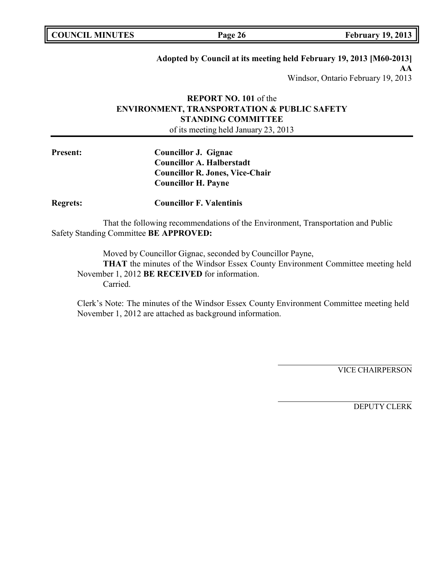| <b>COUNCIL MINUTES</b> |  |
|------------------------|--|
|------------------------|--|

**COUNCIL MINUTES Page 26 February 19, 2013**

# **Adopted by Council at its meeting held February 19, 2013 [M60-2013]**

**AA** Windsor, Ontario February 19, 2013

# **REPORT NO. 101** of the **ENVIRONMENT, TRANSPORTATION & PUBLIC SAFETY STANDING COMMITTEE**

of its meeting held January 23, 2013

| <b>Present:</b> | Councillor J. Gignac                   |
|-----------------|----------------------------------------|
|                 | <b>Councillor A. Halberstadt</b>       |
|                 | <b>Councillor R. Jones, Vice-Chair</b> |
|                 | <b>Councillor H. Payne</b>             |
|                 |                                        |

**Regrets: Councillor F. Valentinis**

That the following recommendations of the Environment, Transportation and Public Safety Standing Committee **BE APPROVED:**

Moved by Councillor Gignac, seconded by Councillor Payne, **THAT** the minutes of the Windsor Essex County Environment Committee meeting held November 1, 2012 **BE RECEIVED** for information. Carried.

Clerk's Note: The minutes of the Windsor Essex County Environment Committee meeting held November 1, 2012 are attached as background information.

VICE CHAIRPERSON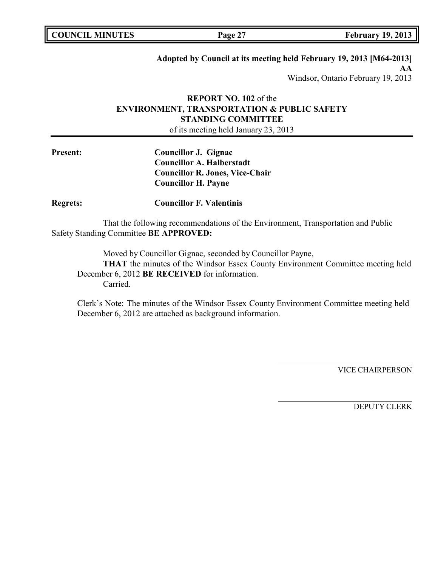| <b>COUNCIL MINUTES</b> |  |
|------------------------|--|
|------------------------|--|

# **Adopted by Council at its meeting held February 19, 2013 [M64-2013]**

**AA** Windsor, Ontario February 19, 2013

# **REPORT NO. 102** of the **ENVIRONMENT, TRANSPORTATION & PUBLIC SAFETY STANDING COMMITTEE**

of its meeting held January 23, 2013

| <b>Present:</b> | Councillor J. Gignac                   |
|-----------------|----------------------------------------|
|                 | <b>Councillor A. Halberstadt</b>       |
|                 | <b>Councillor R. Jones, Vice-Chair</b> |
|                 | <b>Councillor H. Payne</b>             |
|                 |                                        |

**Regrets: Councillor F. Valentinis**

That the following recommendations of the Environment, Transportation and Public Safety Standing Committee **BE APPROVED:**

Moved by Councillor Gignac, seconded by Councillor Payne, **THAT** the minutes of the Windsor Essex County Environment Committee meeting held December 6, 2012 **BE RECEIVED** for information. Carried.

Clerk's Note: The minutes of the Windsor Essex County Environment Committee meeting held December 6, 2012 are attached as background information.

VICE CHAIRPERSON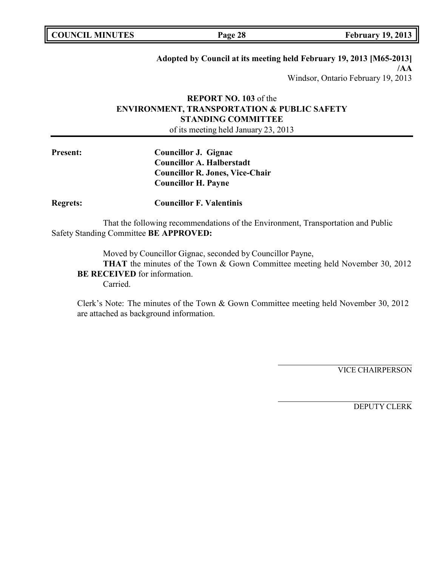| <b>COUNCIL MINUTES</b> |  |
|------------------------|--|
|------------------------|--|

**COUNCIL MINUTES Page 28 February 19, 2013**

# **Adopted by Council at its meeting held February 19, 2013 [M65-2013]**

**/AA** Windsor, Ontario February 19, 2013

# **REPORT NO. 103** of the **ENVIRONMENT, TRANSPORTATION & PUBLIC SAFETY STANDING COMMITTEE**

of its meeting held January 23, 2013

| <b>Present:</b> | Councillor J. Gignac                   |
|-----------------|----------------------------------------|
|                 | <b>Councillor A. Halberstadt</b>       |
|                 | <b>Councillor R. Jones, Vice-Chair</b> |
|                 | <b>Councillor H. Payne</b>             |
|                 |                                        |

**Regrets: Councillor F. Valentinis**

That the following recommendations of the Environment, Transportation and Public Safety Standing Committee **BE APPROVED:**

Moved by Councillor Gignac, seconded by Councillor Payne,

**THAT** the minutes of the Town & Gown Committee meeting held November 30, 2012 **BE RECEIVED** for information.

Carried.

Clerk's Note: The minutes of the Town & Gown Committee meeting held November 30, 2012 are attached as background information.

VICE CHAIRPERSON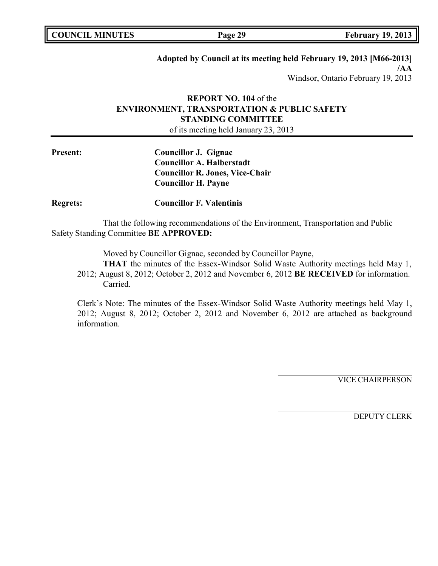| <b>COUNCIL MINUTES</b> |  |
|------------------------|--|
|------------------------|--|

**COUNCIL MINUTES Page 29 February 19, 2013**

# **Adopted by Council at its meeting held February 19, 2013 [M66-2013]**

**/AA** Windsor, Ontario February 19, 2013

# **REPORT NO. 104** of the **ENVIRONMENT, TRANSPORTATION & PUBLIC SAFETY STANDING COMMITTEE**

of its meeting held January 23, 2013

**Present: Councillor J. Gignac Councillor A. Halberstadt Councillor R. Jones, Vice-Chair Councillor H. Payne**

**Regrets: Councillor F. Valentinis**

That the following recommendations of the Environment, Transportation and Public Safety Standing Committee **BE APPROVED:**

Moved by Councillor Gignac, seconded by Councillor Payne,

**THAT** the minutes of the Essex-Windsor Solid Waste Authority meetings held May 1, 2012; August 8, 2012; October 2, 2012 and November 6, 2012 **BE RECEIVED** for information. Carried.

Clerk's Note: The minutes of the Essex-Windsor Solid Waste Authority meetings held May 1, 2012; August 8, 2012; October 2, 2012 and November 6, 2012 are attached as background information.

VICE CHAIRPERSON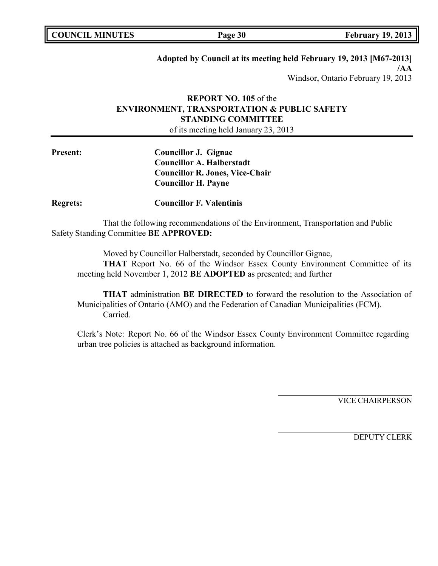| <b>COUNCIL MINUTES</b> |  |
|------------------------|--|
|------------------------|--|

**COUNCIL MINUTES Page 30 February 19, 2013**

# **Adopted by Council at its meeting held February 19, 2013 [M67-2013]**

**/AA** Windsor, Ontario February 19, 2013

# **REPORT NO. 105** of the **ENVIRONMENT, TRANSPORTATION & PUBLIC SAFETY STANDING COMMITTEE**

of its meeting held January 23, 2013

**Present: Councillor J. Gignac Councillor A. Halberstadt Councillor R. Jones, Vice-Chair Councillor H. Payne**

**Regrets: Councillor F. Valentinis**

That the following recommendations of the Environment, Transportation and Public Safety Standing Committee **BE APPROVED:**

Moved by Councillor Halberstadt, seconded by Councillor Gignac,

**THAT** Report No. 66 of the Windsor Essex County Environment Committee of its meeting held November 1, 2012 **BE ADOPTED** as presented; and further

**THAT** administration **BE DIRECTED** to forward the resolution to the Association of Municipalities of Ontario (AMO) and the Federation of Canadian Municipalities (FCM). Carried.

Clerk's Note: Report No. 66 of the Windsor Essex County Environment Committee regarding urban tree policies is attached as background information.

VICE CHAIRPERSON